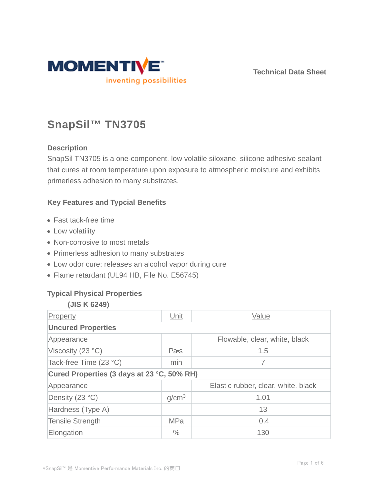

**Technical Data Sheet**

# **SnapSil™ TN3705**

# **Description**

SnapSil TN3705 is a one-component, low volatile siloxane, silicone adhesive sealant that cures at room temperature upon exposure to atmospheric moisture and exhibits primerless adhesion to many substrates.

# **Key Features and Typcial Benefits**

- Fast tack-free time
- Low volatility
- Non-corrosive to most metals
- Primerless adhesion to many substrates
- Low odor cure: releases an alcohol vapor during cure
- Flame retardant (UL94 HB, File No. E56745)

### **Typical Physical Properties**

#### **(JIS K 6249)**

| Property                                   | Unit              | Value                               |  |  |
|--------------------------------------------|-------------------|-------------------------------------|--|--|
| <b>Uncured Properties</b>                  |                   |                                     |  |  |
| Appearance                                 |                   | Flowable, clear, white, black       |  |  |
| Viscosity (23 °C)                          | Pa <sub>s</sub>   | 1.5                                 |  |  |
| Tack-free Time (23 °C)                     | min               | 7                                   |  |  |
| Cured Properties (3 days at 23 °C, 50% RH) |                   |                                     |  |  |
| Appearance                                 |                   | Elastic rubber, clear, white, black |  |  |
| Density (23 °C)                            | g/cm <sup>3</sup> | 1.01                                |  |  |
| Hardness (Type A)                          |                   | 13                                  |  |  |
| <b>Tensile Strength</b>                    | <b>MPa</b>        | 0.4                                 |  |  |
| Elongation                                 | $\frac{0}{0}$     | 130                                 |  |  |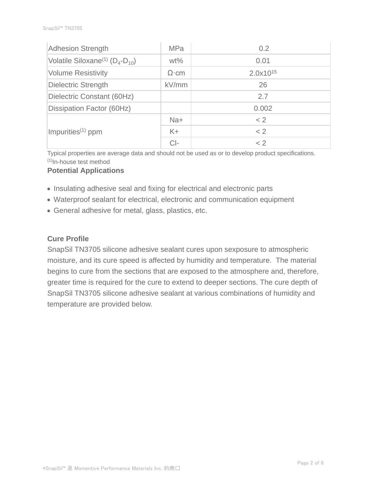| <b>Adhesion Strength</b>                              | <b>MPa</b>   | 0.2           |
|-------------------------------------------------------|--------------|---------------|
| Volatile Siloxane <sup>(1)</sup> ( $D_4$ - $D_{10}$ ) | $wt\%$       | 0.01          |
| <b>Volume Resistivity</b>                             | $\Omega$ ·cm | $2.0x10^{15}$ |
| <b>Dielectric Strength</b>                            | kV/mm        | 26            |
| Dielectric Constant (60Hz)                            |              | 2.7           |
| Dissipation Factor (60Hz)                             |              | 0.002         |
|                                                       | $Na+$        | < 2           |
| Impurities $(1)$ ppm                                  | $K +$        | < 2           |
|                                                       | $Cl-$        | < 2           |

Typical properties are average data and should not be used as or to develop product specifications. (1)In-house test method

### **Potential Applications**

- Insulating adhesive seal and fixing for electrical and electronic parts
- Waterproof sealant for electrical, electronic and communication equipment
- General adhesive for metal, glass, plastics, etc.

# **Cure Profile**

SnapSil TN3705 silicone adhesive sealant cures upon sexposure to atmospheric moisture, and its cure speed is affected by humidity and temperature. The material begins to cure from the sections that are exposed to the atmosphere and, therefore, greater time is required for the cure to extend to deeper sections. The cure depth of SnapSil TN3705 silicone adhesive sealant at various combinations of humidity and temperature are provided below.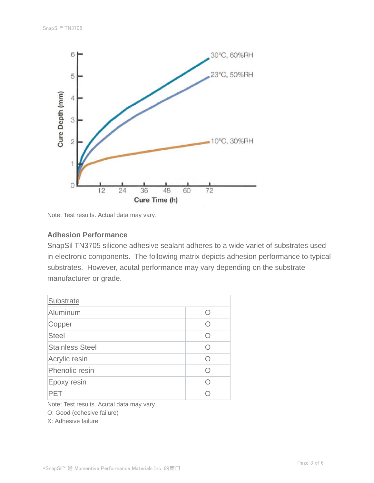

Note: Test results. Actual data may vary.

#### **Adhesion Performance**

SnapSil TN3705 silicone adhesive sealant adheres to a wide variet of substrates used in electronic components. The following matrix depicts adhesion performance to typical substrates. However, acutal performance may vary depending on the substrate manufacturer or grade.

| <b>Substrate</b>       |           |
|------------------------|-----------|
| Aluminum               | $\bigcap$ |
| Copper                 | O         |
| <b>Steel</b>           | Ω         |
| <b>Stainless Steel</b> | ( )       |
| Acrylic resin          | ∩         |
| Phenolic resin         | $\bigcap$ |
| Epoxy resin            | $\bigcap$ |
| PFT                    |           |

Note: Test results. Acutal data may vary.

O: Good (cohesive failure)

X: Adhesive failure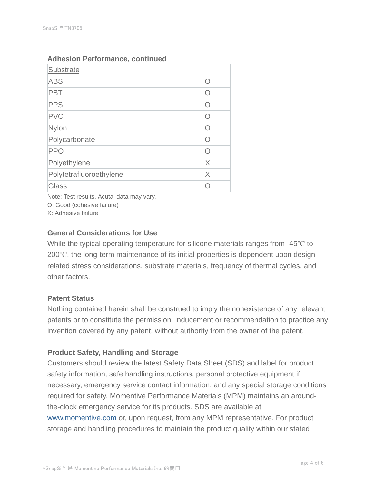| Substrate               |            |
|-------------------------|------------|
| <b>ABS</b>              | Ω          |
| <b>PBT</b>              | $\bigcirc$ |
| <b>PPS</b>              | ∩          |
| <b>PVC</b>              | Ω          |
| Nylon                   | ∩          |
| Polycarbonate           | ∩          |
| <b>PPO</b>              | Ω          |
| Polyethylene            | X          |
| Polytetrafluoroethylene | $\times$   |
| Glass                   |            |

## **Adhesion Performance, continued**

Note: Test results. Acutal data may vary.

O: Good (cohesive failure)

X: Adhesive failure

### **General Considerations for Use**

While the typical operating temperature for silicone materials ranges from -45℃ to 200℃, the long-term maintenance of its initial properties is dependent upon design related stress considerations, substrate materials, frequency of thermal cycles, and other factors.

### **Patent Status**

Nothing contained herein shall be construed to imply the nonexistence of any relevant patents or to constitute the permission, inducement or recommendation to practice any invention covered by any patent, without authority from the owner of the patent.

### **Product Safety, Handling and Storage**

Customers should review the latest Safety Data Sheet (SDS) and label for product safety information, safe handling instructions, personal protective equipment if necessary, emergency service contact information, and any special storage conditions required for safety. Momentive Performance Materials (MPM) maintains an aroundthe-clock emergency service for its products. SDS are available at www.momentive.com or, upon request, from any MPM representative. For product storage and handling procedures to maintain the product quality within our stated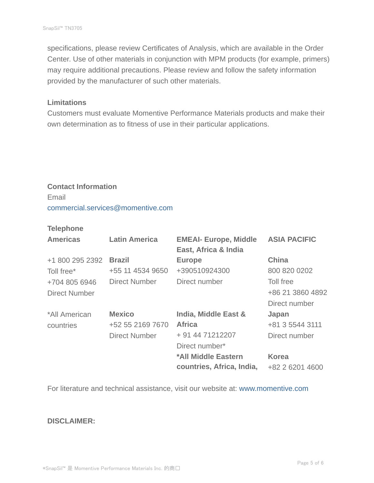specifications, please review Certificates of Analysis, which are available in the Order Center. Use of other materials in conjunction with MPM products (for example, primers) may require additional precautions. Please review and follow the safety information provided by the manufacturer of such other materials.

#### **Limitations**

Customers must evaluate Momentive Performance Materials products and make their own determination as to fitness of use in their particular applications.

# **Contact Information** Email commercial.services@momentive.com

### **Telephone**

| <b>Americas</b>      | <b>Latin America</b> | <b>EMEAI- Europe, Middle</b><br>East, Africa & India | <b>ASIA PACIFIC</b> |
|----------------------|----------------------|------------------------------------------------------|---------------------|
| +1 800 295 2392      | <b>Brazil</b>        | <b>Europe</b>                                        | <b>China</b>        |
| Toll free*           | +55 11 4534 9650     | +390510924300                                        | 800 820 0202        |
| +704 805 6946        | <b>Direct Number</b> | Direct number                                        | Toll free           |
| <b>Direct Number</b> |                      |                                                      | +86 21 3860 4892    |
|                      |                      |                                                      | Direct number       |
| *All American        | <b>Mexico</b>        | India, Middle East &                                 | Japan               |
| countries            | +52 55 2169 7670     | <b>Africa</b>                                        | +81 3 5544 3111     |
|                      | <b>Direct Number</b> | + 91 44 71212207                                     | Direct number       |
|                      |                      | Direct number*                                       |                     |
|                      |                      | *All Middle Eastern                                  | <b>Korea</b>        |
|                      |                      | countries, Africa, India,                            | +82 2 6201 4600     |

For literature and technical assistance, visit our website at: www.momentive.com

#### **DISCLAIMER:**